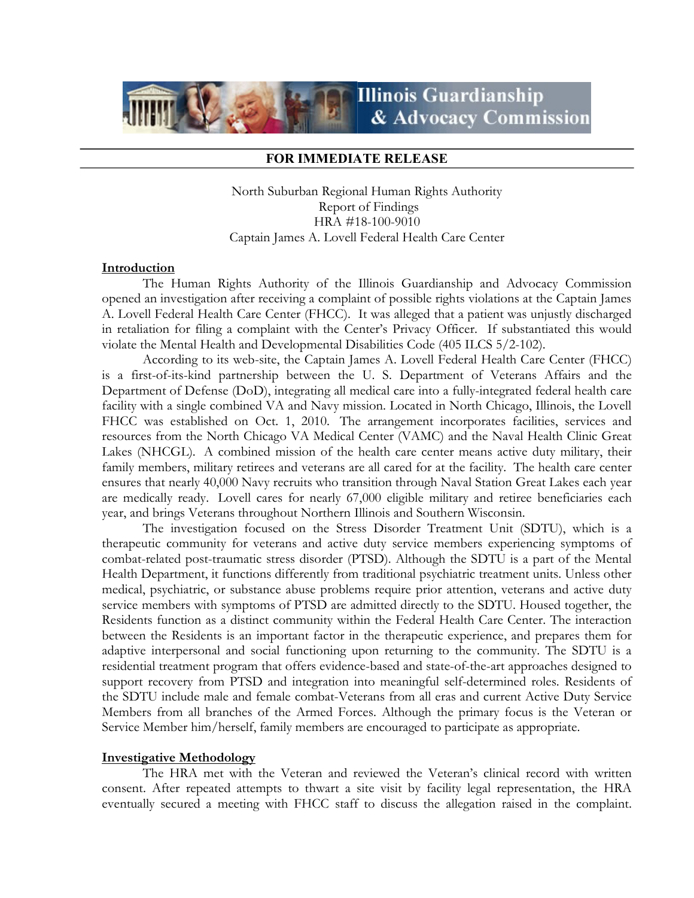

### FOR IMMEDIATE RELEASE

North Suburban Regional Human Rights Authority Report of Findings HRA #18-100-9010 Captain James A. Lovell Federal Health Care Center

## **Introduction**

The Human Rights Authority of the Illinois Guardianship and Advocacy Commission opened an investigation after receiving a complaint of possible rights violations at the Captain James A. Lovell Federal Health Care Center (FHCC). It was alleged that a patient was unjustly discharged in retaliation for filing a complaint with the Center's Privacy Officer. If substantiated this would violate the Mental Health and Developmental Disabilities Code (405 ILCS 5/2-102).

 According to its web-site, the Captain James A. Lovell Federal Health Care Center (FHCC) is a first-of-its-kind partnership between the U. S. Department of Veterans Affairs and the Department of Defense (DoD), integrating all medical care into a fully-integrated federal health care facility with a single combined VA and Navy mission. Located in North Chicago, Illinois, the Lovell FHCC was established on Oct. 1, 2010. The arrangement incorporates facilities, services and resources from the North Chicago VA Medical Center (VAMC) and the Naval Health Clinic Great Lakes (NHCGL). A combined mission of the health care center means active duty military, their family members, military retirees and veterans are all cared for at the facility. The health care center ensures that nearly 40,000 Navy recruits who transition through Naval Station Great Lakes each year are medically ready. Lovell cares for nearly 67,000 eligible military and retiree beneficiaries each year, and brings Veterans throughout Northern Illinois and Southern Wisconsin.

The investigation focused on the Stress Disorder Treatment Unit (SDTU), which is a therapeutic community for veterans and active duty service members experiencing symptoms of combat-related post-traumatic stress disorder (PTSD). Although the SDTU is a part of the Mental Health Department, it functions differently from traditional psychiatric treatment units. Unless other medical, psychiatric, or substance abuse problems require prior attention, veterans and active duty service members with symptoms of PTSD are admitted directly to the SDTU. Housed together, the Residents function as a distinct community within the Federal Health Care Center. The interaction between the Residents is an important factor in the therapeutic experience, and prepares them for adaptive interpersonal and social functioning upon returning to the community. The SDTU is a residential treatment program that offers evidence-based and state-of-the-art approaches designed to support recovery from PTSD and integration into meaningful self-determined roles. Residents of the SDTU include male and female combat-Veterans from all eras and current Active Duty Service Members from all branches of the Armed Forces. Although the primary focus is the Veteran or Service Member him/herself, family members are encouraged to participate as appropriate.

#### Investigative Methodology

 The HRA met with the Veteran and reviewed the Veteran's clinical record with written consent. After repeated attempts to thwart a site visit by facility legal representation, the HRA eventually secured a meeting with FHCC staff to discuss the allegation raised in the complaint.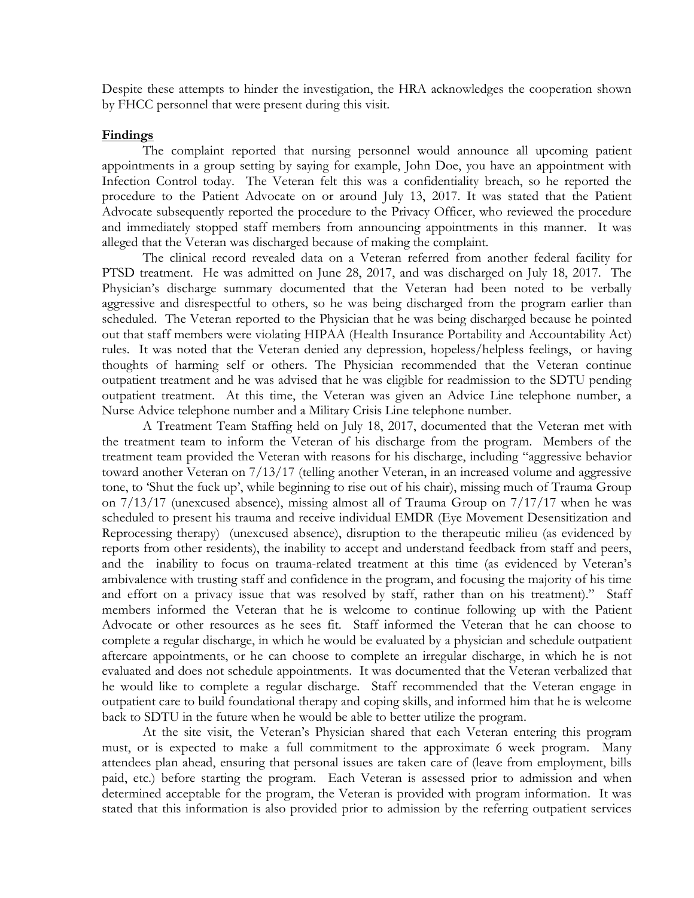Despite these attempts to hinder the investigation, the HRA acknowledges the cooperation shown by FHCC personnel that were present during this visit.

#### Findings

 The complaint reported that nursing personnel would announce all upcoming patient appointments in a group setting by saying for example, John Doe, you have an appointment with Infection Control today. The Veteran felt this was a confidentiality breach, so he reported the procedure to the Patient Advocate on or around July 13, 2017. It was stated that the Patient Advocate subsequently reported the procedure to the Privacy Officer, who reviewed the procedure and immediately stopped staff members from announcing appointments in this manner. It was alleged that the Veteran was discharged because of making the complaint.

The clinical record revealed data on a Veteran referred from another federal facility for PTSD treatment. He was admitted on June 28, 2017, and was discharged on July 18, 2017. The Physician's discharge summary documented that the Veteran had been noted to be verbally aggressive and disrespectful to others, so he was being discharged from the program earlier than scheduled. The Veteran reported to the Physician that he was being discharged because he pointed out that staff members were violating HIPAA (Health Insurance Portability and Accountability Act) rules. It was noted that the Veteran denied any depression, hopeless/helpless feelings, or having thoughts of harming self or others. The Physician recommended that the Veteran continue outpatient treatment and he was advised that he was eligible for readmission to the SDTU pending outpatient treatment. At this time, the Veteran was given an Advice Line telephone number, a Nurse Advice telephone number and a Military Crisis Line telephone number.

 A Treatment Team Staffing held on July 18, 2017, documented that the Veteran met with the treatment team to inform the Veteran of his discharge from the program. Members of the treatment team provided the Veteran with reasons for his discharge, including "aggressive behavior toward another Veteran on 7/13/17 (telling another Veteran, in an increased volume and aggressive tone, to 'Shut the fuck up', while beginning to rise out of his chair), missing much of Trauma Group on 7/13/17 (unexcused absence), missing almost all of Trauma Group on 7/17/17 when he was scheduled to present his trauma and receive individual EMDR (Eye Movement Desensitization and Reprocessing therapy) (unexcused absence), disruption to the therapeutic milieu (as evidenced by reports from other residents), the inability to accept and understand feedback from staff and peers, and the inability to focus on trauma-related treatment at this time (as evidenced by Veteran's ambivalence with trusting staff and confidence in the program, and focusing the majority of his time and effort on a privacy issue that was resolved by staff, rather than on his treatment)." Staff members informed the Veteran that he is welcome to continue following up with the Patient Advocate or other resources as he sees fit. Staff informed the Veteran that he can choose to complete a regular discharge, in which he would be evaluated by a physician and schedule outpatient aftercare appointments, or he can choose to complete an irregular discharge, in which he is not evaluated and does not schedule appointments. It was documented that the Veteran verbalized that he would like to complete a regular discharge. Staff recommended that the Veteran engage in outpatient care to build foundational therapy and coping skills, and informed him that he is welcome back to SDTU in the future when he would be able to better utilize the program.

At the site visit, the Veteran's Physician shared that each Veteran entering this program must, or is expected to make a full commitment to the approximate 6 week program. Many attendees plan ahead, ensuring that personal issues are taken care of (leave from employment, bills paid, etc.) before starting the program. Each Veteran is assessed prior to admission and when determined acceptable for the program, the Veteran is provided with program information. It was stated that this information is also provided prior to admission by the referring outpatient services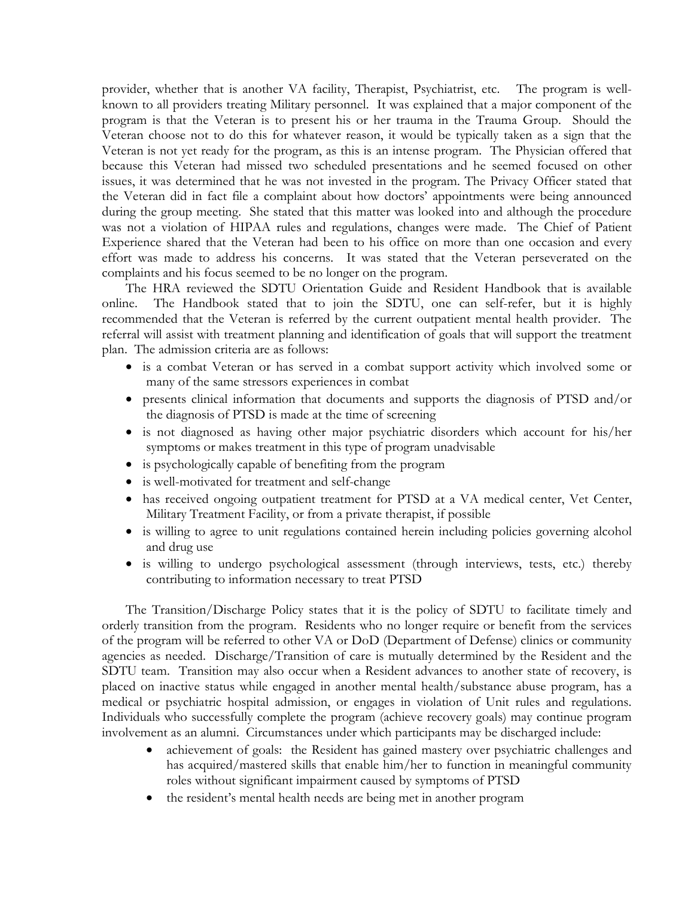provider, whether that is another VA facility, Therapist, Psychiatrist, etc. The program is wellknown to all providers treating Military personnel. It was explained that a major component of the program is that the Veteran is to present his or her trauma in the Trauma Group. Should the Veteran choose not to do this for whatever reason, it would be typically taken as a sign that the Veteran is not yet ready for the program, as this is an intense program. The Physician offered that because this Veteran had missed two scheduled presentations and he seemed focused on other issues, it was determined that he was not invested in the program. The Privacy Officer stated that the Veteran did in fact file a complaint about how doctors' appointments were being announced during the group meeting. She stated that this matter was looked into and although the procedure was not a violation of HIPAA rules and regulations, changes were made. The Chief of Patient Experience shared that the Veteran had been to his office on more than one occasion and every effort was made to address his concerns. It was stated that the Veteran perseverated on the complaints and his focus seemed to be no longer on the program.

The HRA reviewed the SDTU Orientation Guide and Resident Handbook that is available online. The Handbook stated that to join the SDTU, one can self-refer, but it is highly recommended that the Veteran is referred by the current outpatient mental health provider. The referral will assist with treatment planning and identification of goals that will support the treatment plan. The admission criteria are as follows:

- is a combat Veteran or has served in a combat support activity which involved some or many of the same stressors experiences in combat
- presents clinical information that documents and supports the diagnosis of PTSD and/or the diagnosis of PTSD is made at the time of screening
- is not diagnosed as having other major psychiatric disorders which account for his/her symptoms or makes treatment in this type of program unadvisable
- is psychologically capable of benefiting from the program
- is well-motivated for treatment and self-change
- has received ongoing outpatient treatment for PTSD at a VA medical center, Vet Center, Military Treatment Facility, or from a private therapist, if possible
- is willing to agree to unit regulations contained herein including policies governing alcohol and drug use
- is willing to undergo psychological assessment (through interviews, tests, etc.) thereby contributing to information necessary to treat PTSD

The Transition/Discharge Policy states that it is the policy of SDTU to facilitate timely and orderly transition from the program. Residents who no longer require or benefit from the services of the program will be referred to other VA or DoD (Department of Defense) clinics or community agencies as needed. Discharge/Transition of care is mutually determined by the Resident and the SDTU team. Transition may also occur when a Resident advances to another state of recovery, is placed on inactive status while engaged in another mental health/substance abuse program, has a medical or psychiatric hospital admission, or engages in violation of Unit rules and regulations. Individuals who successfully complete the program (achieve recovery goals) may continue program involvement as an alumni. Circumstances under which participants may be discharged include:

- achievement of goals: the Resident has gained mastery over psychiatric challenges and has acquired/mastered skills that enable him/her to function in meaningful community roles without significant impairment caused by symptoms of PTSD
- the resident's mental health needs are being met in another program